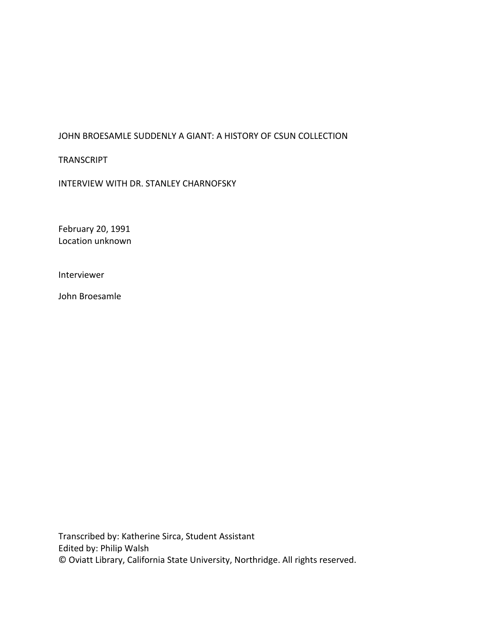# JOHN BROESAMLE SUDDENLY A GIANT: A HISTORY OF CSUN COLLECTION

TRANSCRIPT

INTERVIEW WITH DR. STANLEY CHARNOFSKY

February 20, 1991 Location unknown

Interviewer

John Broesamle

Transcribed by: Katherine Sirca, Student Assistant Edited by: Philip Walsh © Oviatt Library, California State University, Northridge. All rights reserved.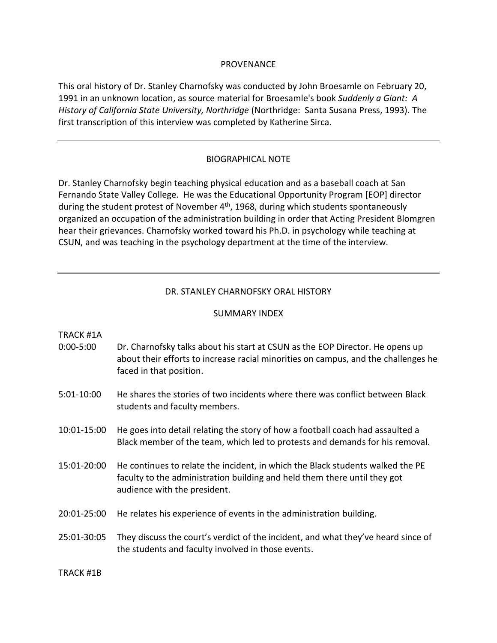### PROVENANCE

This oral history of Dr. Stanley Charnofsky was conducted by John Broesamle on February 20, 1991 in an unknown location, as source material for Broesamle's book *Suddenly a Giant: A History of California State University, Northridge* (Northridge: Santa Susana Press, 1993). The first transcription of this interview was completed by Katherine Sirca.

## BIOGRAPHICAL NOTE

Dr. Stanley Charnofsky begin teaching physical education and as a baseball coach at San Fernando State Valley College. He was the Educational Opportunity Program [EOP] director during the student protest of November 4<sup>th</sup>, 1968, during which students spontaneously organized an occupation of the administration building in order that Acting President Blomgren hear their grievances. Charnofsky worked toward his Ph.D. in psychology while teaching at CSUN, and was teaching in the psychology department at the time of the interview.

## DR. STANLEY CHARNOFSKY ORAL HISTORY

#### SUMMARY INDEX

#### TRACK #1A

- 0:00-5:00 Dr. Charnofsky talks about his start at CSUN as the EOP Director. He opens up about their efforts to increase racial minorities on campus, and the challenges he faced in that position.
- 5:01-10:00 He shares the stories of two incidents where there was conflict between Black students and faculty members.
- 10:01-15:00 He goes into detail relating the story of how a football coach had assaulted a Black member of the team, which led to protests and demands for his removal.
- 15:01-20:00 He continues to relate the incident, in which the Black students walked the PE faculty to the administration building and held them there until they got audience with the president.
- 20:01-25:00 He relates his experience of events in the administration building.

## 25:01-30:05 They discuss the court's verdict of the incident, and what they've heard since of the students and faculty involved in those events.

TRACK #1B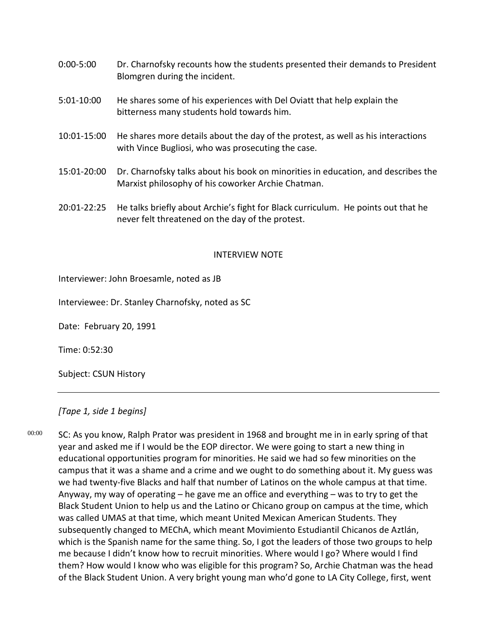- 0:00-5:00 Dr. Charnofsky recounts how the students presented their demands to President Blomgren during the incident.
- 5:01-10:00 He shares some of his experiences with Del Oviatt that help explain the bitterness many students hold towards him.
- 10:01-15:00 He shares more details about the day of the protest, as well as his interactions with Vince Bugliosi, who was prosecuting the case.
- 15:01-20:00 Dr. Charnofsky talks about his book on minorities in education, and describes the Marxist philosophy of his coworker Archie Chatman.
- 20:01-22:25 He talks briefly about Archie's fight for Black curriculum. He points out that he never felt threatened on the day of the protest.

### INTERVIEW NOTE

Interviewer: John Broesamle, noted as JB

Interviewee: Dr. Stanley Charnofsky, noted as SC

Date: February 20, 1991

Time: 0:52:30

Subject: CSUN History

## *[Tape 1, side 1 begins]*

00:00

SC: As you know, Ralph Prator was president in 1968 and brought me in in early spring of that year and asked me if I would be the EOP director. We were going to start a new thing in educational opportunities program for minorities. He said we had so few minorities on the campus that it was a shame and a crime and we ought to do something about it. My guess was we had twenty-five Blacks and half that number of Latinos on the whole campus at that time. Anyway, my way of operating – he gave me an office and everything – was to try to get the Black Student Union to help us and the Latino or Chicano group on campus at the time, which was called UMAS at that time, which meant United Mexican American Students. They subsequently changed to MEChA, which meant Movimiento Estudiantil Chicanos de Aztlán, which is the Spanish name for the same thing. So, I got the leaders of those two groups to help me because I didn't know how to recruit minorities. Where would I go? Where would I find them? How would I know who was eligible for this program? So, Archie Chatman was the head of the Black Student Union. A very bright young man who'd gone to LA City College, first, went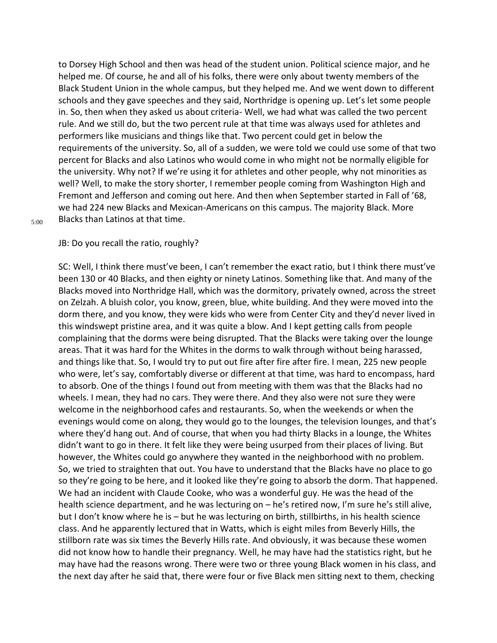to Dorsey High School and then was head of the student union. Political science major, and he helped me. Of course, he and all of his folks, there were only about twenty members of the Black Student Union in the whole campus, but they helped me. And we went down to different schools and they gave speeches and they said, Northridge is opening up. Let's let some people in. So, then when they asked us about criteria- Well, we had what was called the two percent rule. And we still do, but the two percent rule at that time was always used for athletes and performers like musicians and things like that. Two percent could get in below the requirements of the university. So, all of a sudden, we were told we could use some of that two percent for Blacks and also Latinos who would come in who might not be normally eligible for the university. Why not? If we're using it for athletes and other people, why not minorities as well? Well, to make the story shorter, I remember people coming from Washington High and Fremont and Jefferson and coming out here. And then when September started in Fall of '68, we had 224 new Blacks and Mexican-Americans on this campus. The majority Black. More Blacks than Latinos at that time.

#### 5:00

JB: Do you recall the ratio, roughly?

SC: Well, I think there must've been, I can't remember the exact ratio, but I think there must've been 130 or 40 Blacks, and then eighty or ninety Latinos. Something like that. And many of the Blacks moved into Northridge Hall, which was the dormitory, privately owned, across the street on Zelzah. A bluish color, you know, green, blue, white building. And they were moved into the dorm there, and you know, they were kids who were from Center City and they'd never lived in this windswept pristine area, and it was quite a blow. And I kept getting calls from people complaining that the dorms were being disrupted. That the Blacks were taking over the lounge areas. That it was hard for the Whites in the dorms to walk through without being harassed, and things like that. So, I would try to put out fire after fire after fire. I mean, 225 new people who were, let's say, comfortably diverse or different at that time, was hard to encompass, hard to absorb. One of the things I found out from meeting with them was that the Blacks had no wheels. I mean, they had no cars. They were there. And they also were not sure they were welcome in the neighborhood cafes and restaurants. So, when the weekends or when the evenings would come on along, they would go to the lounges, the television lounges, and that's where they'd hang out. And of course, that when you had thirty Blacks in a lounge, the Whites didn't want to go in there. It felt like they were being usurped from their places of living. But however, the Whites could go anywhere they wanted in the neighborhood with no problem. So, we tried to straighten that out. You have to understand that the Blacks have no place to go so they're going to be here, and it looked like they're going to absorb the dorm. That happened. We had an incident with Claude Cooke, who was a wonderful guy. He was the head of the health science department, and he was lecturing on - he's retired now, I'm sure he's still alive, but I don't know where he is – but he was lecturing on birth, stillbirths, in his health science class. And he apparently lectured that in Watts, which is eight miles from Beverly Hills, the stillborn rate was six times the Beverly Hills rate. And obviously, it was because these women did not know how to handle their pregnancy. Well, he may have had the statistics right, but he may have had the reasons wrong. There were two or three young Black women in his class, and the next day after he said that, there were four or five Black men sitting next to them, checking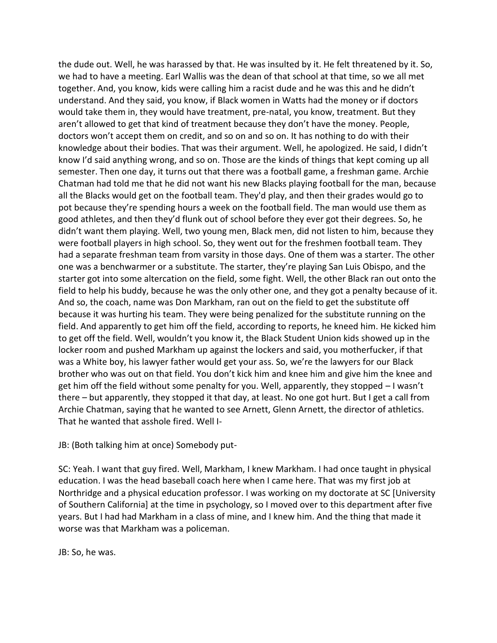the dude out. Well, he was harassed by that. He was insulted by it. He felt threatened by it. So, we had to have a meeting. Earl Wallis was the dean of that school at that time, so we all met together. And, you know, kids were calling him a racist dude and he was this and he didn't understand. And they said, you know, if Black women in Watts had the money or if doctors would take them in, they would have treatment, pre-natal, you know, treatment. But they aren't allowed to get that kind of treatment because they don't have the money. People, doctors won't accept them on credit, and so on and so on. It has nothing to do with their knowledge about their bodies. That was their argument. Well, he apologized. He said, I didn't know I'd said anything wrong, and so on. Those are the kinds of things that kept coming up all semester. Then one day, it turns out that there was a football game, a freshman game. Archie Chatman had told me that he did not want his new Blacks playing football for the man, because all the Blacks would get on the football team. They'd play, and then their grades would go to pot because they're spending hours a week on the football field. The man would use them as good athletes, and then they'd flunk out of school before they ever got their degrees. So, he didn't want them playing. Well, two young men, Black men, did not listen to him, because they were football players in high school. So, they went out for the freshmen football team. They had a separate freshman team from varsity in those days. One of them was a starter. The other one was a benchwarmer or a substitute. The starter, they're playing San Luis Obispo, and the starter got into some altercation on the field, some fight. Well, the other Black ran out onto the field to help his buddy, because he was the only other one, and they got a penalty because of it. And so, the coach, name was Don Markham, ran out on the field to get the substitute off because it was hurting his team. They were being penalized for the substitute running on the field. And apparently to get him off the field, according to reports, he kneed him. He kicked him to get off the field. Well, wouldn't you know it, the Black Student Union kids showed up in the locker room and pushed Markham up against the lockers and said, you motherfucker, if that was a White boy, his lawyer father would get your ass. So, we're the lawyers for our Black brother who was out on that field. You don't kick him and knee him and give him the knee and get him off the field without some penalty for you. Well, apparently, they stopped – I wasn't there – but apparently, they stopped it that day, at least. No one got hurt. But I get a call from Archie Chatman, saying that he wanted to see Arnett, Glenn Arnett, the director of athletics. That he wanted that asshole fired. Well I-

JB: (Both talking him at once) Somebody put-

SC: Yeah. I want that guy fired. Well, Markham, I knew Markham. I had once taught in physical education. I was the head baseball coach here when I came here. That was my first job at Northridge and a physical education professor. I was working on my doctorate at SC [University of Southern California] at the time in psychology, so I moved over to this department after five years. But I had had Markham in a class of mine, and I knew him. And the thing that made it worse was that Markham was a policeman.

JB: So, he was.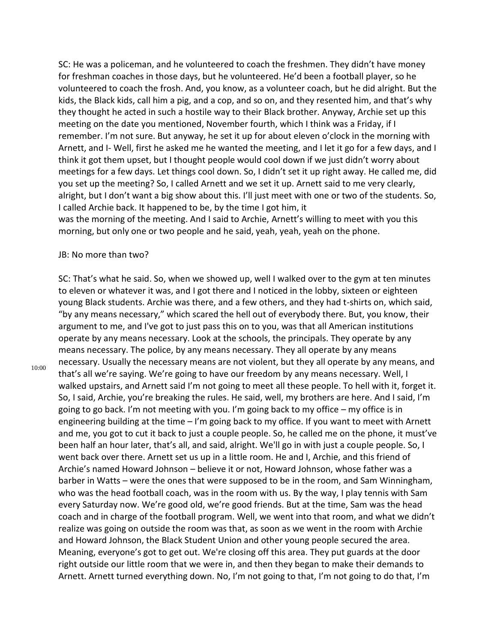SC: He was a policeman, and he volunteered to coach the freshmen. They didn't have money for freshman coaches in those days, but he volunteered. He'd been a football player, so he volunteered to coach the frosh. And, you know, as a volunteer coach, but he did alright. But the kids, the Black kids, call him a pig, and a cop, and so on, and they resented him, and that's why they thought he acted in such a hostile way to their Black brother. Anyway, Archie set up this meeting on the date you mentioned, November fourth, which I think was a Friday, if I remember. I'm not sure. But anyway, he set it up for about eleven o'clock in the morning with Arnett, and I- Well, first he asked me he wanted the meeting, and I let it go for a few days, and I think it got them upset, but I thought people would cool down if we just didn't worry about meetings for a few days. Let things cool down. So, I didn't set it up right away. He called me, did you set up the meeting? So, I called Arnett and we set it up. Arnett said to me very clearly, alright, but I don't want a big show about this. I'll just meet with one or two of the students. So, I called Archie back. It happened to be, by the time I got him, it

was the morning of the meeting. And I said to Archie, Arnett's willing to meet with you this morning, but only one or two people and he said, yeah, yeah, yeah on the phone.

#### JB: No more than two?

10:00

SC: That's what he said. So, when we showed up, well I walked over to the gym at ten minutes to eleven or whatever it was, and I got there and I noticed in the lobby, sixteen or eighteen young Black students. Archie was there, and a few others, and they had t-shirts on, which said, "by any means necessary," which scared the hell out of everybody there. But, you know, their argument to me, and I've got to just pass this on to you, was that all American institutions operate by any means necessary. Look at the schools, the principals. They operate by any means necessary. The police, by any means necessary. They all operate by any means necessary. Usually the necessary means are not violent, but they all operate by any means, and that's all we're saying. We're going to have our freedom by any means necessary. Well, I walked upstairs, and Arnett said I'm not going to meet all these people. To hell with it, forget it. So, I said, Archie, you're breaking the rules. He said, well, my brothers are here. And I said, I'm going to go back. I'm not meeting with you. I'm going back to my office – my office is in engineering building at the time – I'm going back to my office. If you want to meet with Arnett and me, you got to cut it back to just a couple people. So, he called me on the phone, it must've been half an hour later, that's all, and said, alright. We'll go in with just a couple people. So, I went back over there. Arnett set us up in a little room. He and I, Archie, and this friend of Archie's named Howard Johnson – believe it or not, Howard Johnson, whose father was a barber in Watts – were the ones that were supposed to be in the room, and Sam Winningham, who was the head football coach, was in the room with us. By the way, I play tennis with Sam every Saturday now. We're good old, we're good friends. But at the time, Sam was the head coach and in charge of the football program. Well, we went into that room, and what we didn't realize was going on outside the room was that, as soon as we went in the room with Archie and Howard Johnson, the Black Student Union and other young people secured the area. Meaning, everyone's got to get out. We're closing off this area. They put guards at the door right outside our little room that we were in, and then they began to make their demands to Arnett. Arnett turned everything down. No, I'm not going to that, I'm not going to do that, I'm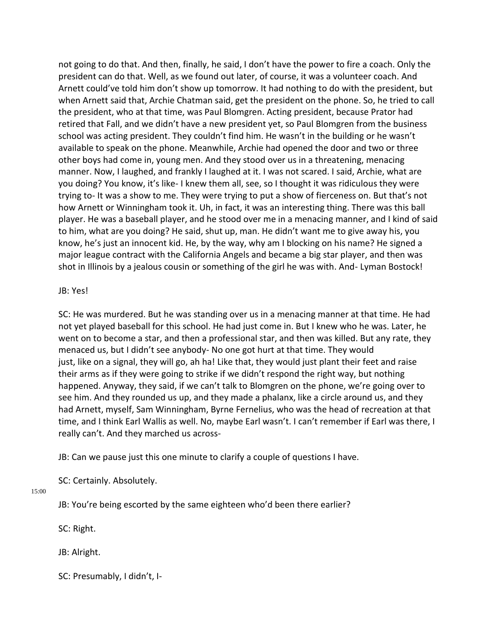not going to do that. And then, finally, he said, I don't have the power to fire a coach. Only the president can do that. Well, as we found out later, of course, it was a volunteer coach. And Arnett could've told him don't show up tomorrow. It had nothing to do with the president, but when Arnett said that, Archie Chatman said, get the president on the phone. So, he tried to call the president, who at that time, was Paul Blomgren. Acting president, because Prator had retired that Fall, and we didn't have a new president yet, so Paul Blomgren from the business school was acting president. They couldn't find him. He wasn't in the building or he wasn't available to speak on the phone. Meanwhile, Archie had opened the door and two or three other boys had come in, young men. And they stood over us in a threatening, menacing manner. Now, I laughed, and frankly I laughed at it. I was not scared. I said, Archie, what are you doing? You know, it's like- I knew them all, see, so I thought it was ridiculous they were trying to- It was a show to me. They were trying to put a show of fierceness on. But that's not how Arnett or Winningham took it. Uh, in fact, it was an interesting thing. There was this ball player. He was a baseball player, and he stood over me in a menacing manner, and I kind of said to him, what are you doing? He said, shut up, man. He didn't want me to give away his, you know, he's just an innocent kid. He, by the way, why am I blocking on his name? He signed a major league contract with the California Angels and became a big star player, and then was shot in Illinois by a jealous cousin or something of the girl he was with. And- Lyman Bostock!

### JB: Yes!

SC: He was murdered. But he was standing over us in a menacing manner at that time. He had not yet played baseball for this school. He had just come in. But I knew who he was. Later, he went on to become a star, and then a professional star, and then was killed. But any rate, they menaced us, but I didn't see anybody- No one got hurt at that time. They would just, like on a signal, they will go, ah ha! Like that, they would just plant their feet and raise their arms as if they were going to strike if we didn't respond the right way, but nothing happened. Anyway, they said, if we can't talk to Blomgren on the phone, we're going over to see him. And they rounded us up, and they made a phalanx, like a circle around us, and they had Arnett, myself, Sam Winningham, Byrne Fernelius, who was the head of recreation at that time, and I think Earl Wallis as well. No, maybe Earl wasn't. I can't remember if Earl was there, I really can't. And they marched us across-

JB: Can we pause just this one minute to clarify a couple of questions I have.

SC: Certainly. Absolutely.

15:00

JB: You're being escorted by the same eighteen who'd been there earlier?

SC: Right.

JB: Alright.

SC: Presumably, I didn't, I-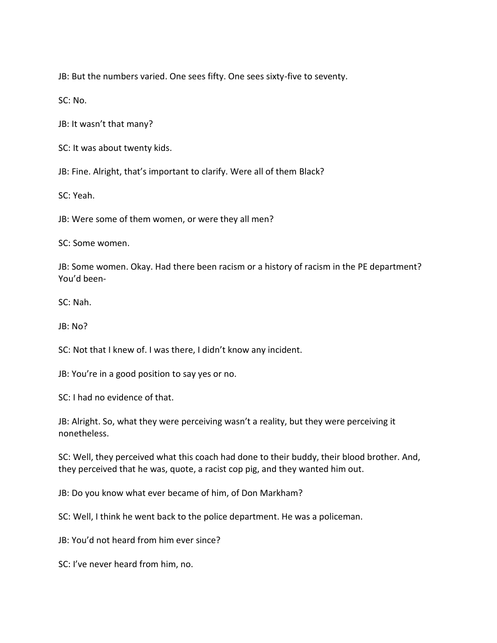JB: But the numbers varied. One sees fifty. One sees sixty-five to seventy.

SC: No.

JB: It wasn't that many?

SC: It was about twenty kids.

JB: Fine. Alright, that's important to clarify. Were all of them Black?

SC: Yeah.

JB: Were some of them women, or were they all men?

SC: Some women.

JB: Some women. Okay. Had there been racism or a history of racism in the PE department? You'd been-

SC: Nah.

JB: No?

SC: Not that I knew of. I was there, I didn't know any incident.

JB: You're in a good position to say yes or no.

SC: I had no evidence of that.

JB: Alright. So, what they were perceiving wasn't a reality, but they were perceiving it nonetheless.

SC: Well, they perceived what this coach had done to their buddy, their blood brother. And, they perceived that he was, quote, a racist cop pig, and they wanted him out.

JB: Do you know what ever became of him, of Don Markham?

SC: Well, I think he went back to the police department. He was a policeman.

JB: You'd not heard from him ever since?

SC: I've never heard from him, no.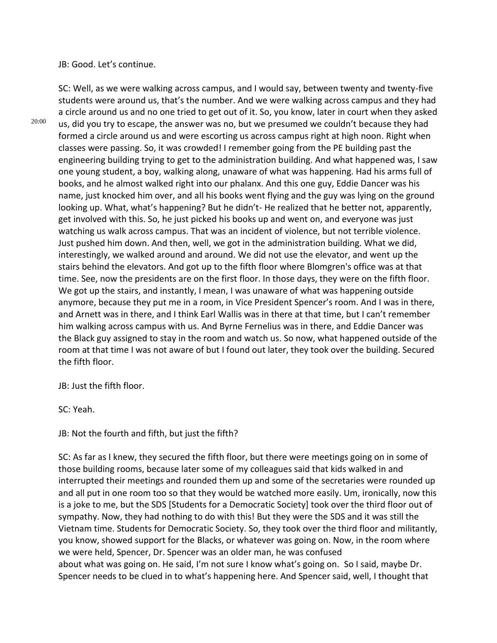JB: Good. Let's continue.

20:00

students were around us, that's the number. And we were walking across campus and they had a circle around us and no one tried to get out of it. So, you know, later in court when they asked us, did you try to escape, the answer was no, but we presumed we couldn't because they had formed a circle around us and were escorting us across campus right at high noon. Right when classes were passing. So, it was crowded! I remember going from the PE building past the engineering building trying to get to the administration building. And what happened was, I saw one young student, a boy, walking along, unaware of what was happening. Had his arms full of books, and he almost walked right into our phalanx. And this one guy, Eddie Dancer was his name, just knocked him over, and all his books went flying and the guy was lying on the ground looking up. What, what's happening? But he didn't- He realized that he better not, apparently, get involved with this. So, he just picked his books up and went on, and everyone was just watching us walk across campus. That was an incident of violence, but not terrible violence. Just pushed him down. And then, well, we got in the administration building. What we did, interestingly, we walked around and around. We did not use the elevator, and went up the stairs behind the elevators. And got up to the fifth floor where Blomgren's office was at that time. See, now the presidents are on the first floor. In those days, they were on the fifth floor. We got up the stairs, and instantly, I mean, I was unaware of what was happening outside anymore, because they put me in a room, in Vice President Spencer's room. And I was in there, and Arnett was in there, and I think Earl Wallis was in there at that time, but I can't remember him walking across campus with us. And Byrne Fernelius was in there, and Eddie Dancer was the Black guy assigned to stay in the room and watch us. So now, what happened outside of the room at that time I was not aware of but I found out later, they took over the building. Secured

SC: Well, as we were walking across campus, and I would say, between twenty and twenty-five

JB: Just the fifth floor.

SC: Yeah.

the fifth floor.

JB: Not the fourth and fifth, but just the fifth?

SC: As far as I knew, they secured the fifth floor, but there were meetings going on in some of those building rooms, because later some of my colleagues said that kids walked in and interrupted their meetings and rounded them up and some of the secretaries were rounded up and all put in one room too so that they would be watched more easily. Um, ironically, now this is a joke to me, but the SDS [Students for a Democratic Society] took over the third floor out of sympathy. Now, they had nothing to do with this! But they were the SDS and it was still the Vietnam time. Students for Democratic Society. So, they took over the third floor and militantly, you know, showed support for the Blacks, or whatever was going on. Now, in the room where we were held, Spencer, Dr. Spencer was an older man, he was confused about what was going on. He said, I'm not sure I know what's going on. So I said, maybe Dr. Spencer needs to be clued in to what's happening here. And Spencer said, well, I thought that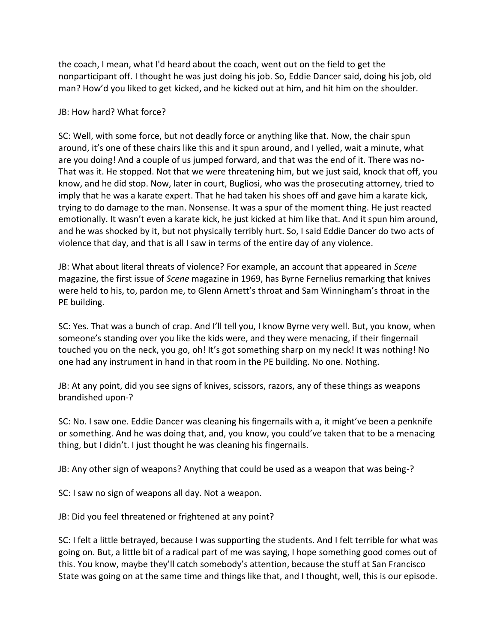the coach, I mean, what I'd heard about the coach, went out on the field to get the nonparticipant off. I thought he was just doing his job. So, Eddie Dancer said, doing his job, old man? How'd you liked to get kicked, and he kicked out at him, and hit him on the shoulder.

## JB: How hard? What force?

SC: Well, with some force, but not deadly force or anything like that. Now, the chair spun around, it's one of these chairs like this and it spun around, and I yelled, wait a minute, what are you doing! And a couple of us jumped forward, and that was the end of it. There was no-That was it. He stopped. Not that we were threatening him, but we just said, knock that off, you know, and he did stop. Now, later in court, Bugliosi, who was the prosecuting attorney, tried to imply that he was a karate expert. That he had taken his shoes off and gave him a karate kick, trying to do damage to the man. Nonsense. It was a spur of the moment thing. He just reacted emotionally. It wasn't even a karate kick, he just kicked at him like that. And it spun him around, and he was shocked by it, but not physically terribly hurt. So, I said Eddie Dancer do two acts of violence that day, and that is all I saw in terms of the entire day of any violence.

JB: What about literal threats of violence? For example, an account that appeared in *Scene*  magazine, the first issue of *Scene* magazine in 1969, has Byrne Fernelius remarking that knives were held to his, to, pardon me, to Glenn Arnett's throat and Sam Winningham's throat in the PE building.

SC: Yes. That was a bunch of crap. And I'll tell you, I know Byrne very well. But, you know, when someone's standing over you like the kids were, and they were menacing, if their fingernail touched you on the neck, you go, oh! It's got something sharp on my neck! It was nothing! No one had any instrument in hand in that room in the PE building. No one. Nothing.

JB: At any point, did you see signs of knives, scissors, razors, any of these things as weapons brandished upon-?

SC: No. I saw one. Eddie Dancer was cleaning his fingernails with a, it might've been a penknife or something. And he was doing that, and, you know, you could've taken that to be a menacing thing, but I didn't. I just thought he was cleaning his fingernails.

JB: Any other sign of weapons? Anything that could be used as a weapon that was being-?

SC: I saw no sign of weapons all day. Not a weapon.

JB: Did you feel threatened or frightened at any point?

SC: I felt a little betrayed, because I was supporting the students. And I felt terrible for what was going on. But, a little bit of a radical part of me was saying, I hope something good comes out of this. You know, maybe they'll catch somebody's attention, because the stuff at San Francisco State was going on at the same time and things like that, and I thought, well, this is our episode.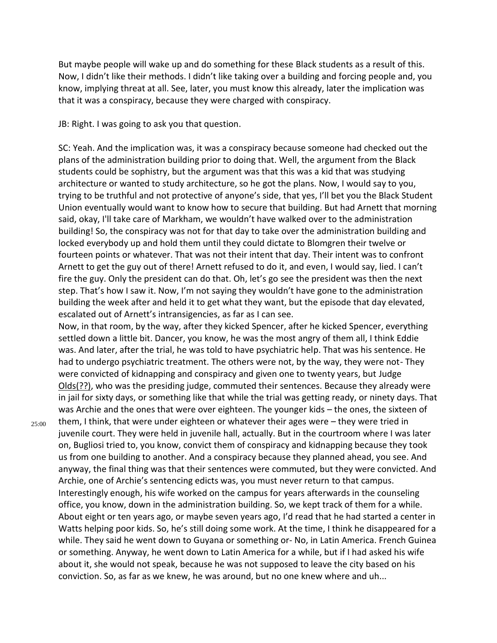But maybe people will wake up and do something for these Black students as a result of this. Now, I didn't like their methods. I didn't like taking over a building and forcing people and, you know, implying threat at all. See, later, you must know this already, later the implication was that it was a conspiracy, because they were charged with conspiracy.

JB: Right. I was going to ask you that question.

SC: Yeah. And the implication was, it was a conspiracy because someone had checked out the plans of the administration building prior to doing that. Well, the argument from the Black students could be sophistry, but the argument was that this was a kid that was studying architecture or wanted to study architecture, so he got the plans. Now, I would say to you, trying to be truthful and not protective of anyone's side, that yes, I'll bet you the Black Student Union eventually would want to know how to secure that building. But had Arnett that morning said, okay, I'll take care of Markham, we wouldn't have walked over to the administration building! So, the conspiracy was not for that day to take over the administration building and locked everybody up and hold them until they could dictate to Blomgren their twelve or fourteen points or whatever. That was not their intent that day. Their intent was to confront Arnett to get the guy out of there! Arnett refused to do it, and even, I would say, lied. I can't fire the guy. Only the president can do that. Oh, let's go see the president was then the next step. That's how I saw it. Now, I'm not saying they wouldn't have gone to the administration building the week after and held it to get what they want, but the episode that day elevated, escalated out of Arnett's intransigencies, as far as I can see.

Now, in that room, by the way, after they kicked Spencer, after he kicked Spencer, everything settled down a little bit. Dancer, you know, he was the most angry of them all, I think Eddie was. And later, after the trial, he was told to have psychiatric help. That was his sentence. He had to undergo psychiatric treatment. The others were not, by the way, they were not- They were convicted of kidnapping and conspiracy and given one to twenty years, but Judge Olds(??), who was the presiding judge, commuted their sentences. Because they already were in jail for sixty days, or something like that while the trial was getting ready, or ninety days. That was Archie and the ones that were over eighteen. The younger kids – the ones, the sixteen of

25:00

them, I think, that were under eighteen or whatever their ages were – they were tried in juvenile court. They were held in juvenile hall, actually. But in the courtroom where I was later on, Bugliosi tried to, you know, convict them of conspiracy and kidnapping because they took us from one building to another. And a conspiracy because they planned ahead, you see. And anyway, the final thing was that their sentences were commuted, but they were convicted. And Archie, one of Archie's sentencing edicts was, you must never return to that campus. Interestingly enough, his wife worked on the campus for years afterwards in the counseling office, you know, down in the administration building. So, we kept track of them for a while. About eight or ten years ago, or maybe seven years ago, I'd read that he had started a center in Watts helping poor kids. So, he's still doing some work. At the time, I think he disappeared for a while. They said he went down to Guyana or something or- No, in Latin America. French Guinea or something. Anyway, he went down to Latin America for a while, but if I had asked his wife about it, she would not speak, because he was not supposed to leave the city based on his conviction. So, as far as we knew, he was around, but no one knew where and uh...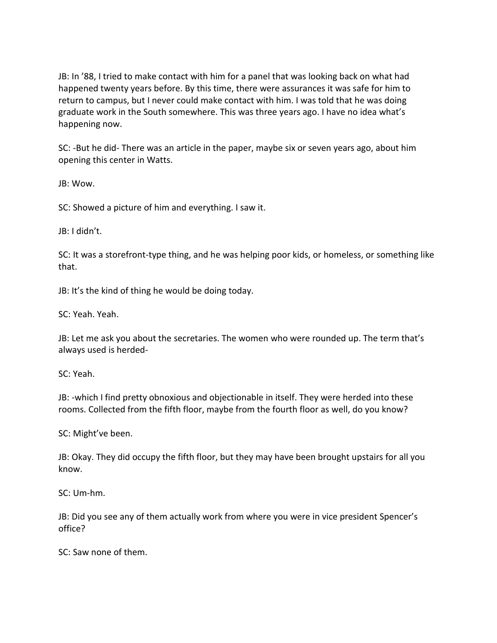JB: In '88, I tried to make contact with him for a panel that was looking back on what had happened twenty years before. By this time, there were assurances it was safe for him to return to campus, but I never could make contact with him. I was told that he was doing graduate work in the South somewhere. This was three years ago. I have no idea what's happening now.

SC: -But he did- There was an article in the paper, maybe six or seven years ago, about him opening this center in Watts.

JB: Wow.

SC: Showed a picture of him and everything. I saw it.

JB: I didn't.

SC: It was a storefront-type thing, and he was helping poor kids, or homeless, or something like that.

JB: It's the kind of thing he would be doing today.

SC: Yeah. Yeah.

JB: Let me ask you about the secretaries. The women who were rounded up. The term that's always used is herded-

SC: Yeah.

JB: -which I find pretty obnoxious and objectionable in itself. They were herded into these rooms. Collected from the fifth floor, maybe from the fourth floor as well, do you know?

SC: Might've been.

JB: Okay. They did occupy the fifth floor, but they may have been brought upstairs for all you know.

SC: Um-hm.

JB: Did you see any of them actually work from where you were in vice president Spencer's office?

SC: Saw none of them.